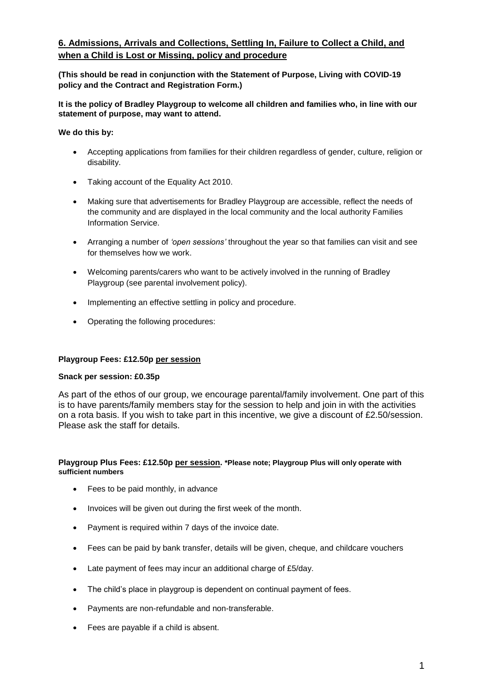# **6. Admissions, Arrivals and Collections, Settling In, Failure to Collect a Child, and when a Child is Lost or Missing, policy and procedure**

**(This should be read in conjunction with the Statement of Purpose, Living with COVID-19 policy and the Contract and Registration Form.)**

**It is the policy of Bradley Playgroup to welcome all children and families who, in line with our statement of purpose, may want to attend.** 

**We do this by:**

- Accepting applications from families for their children regardless of gender, culture, religion or disability.
- Taking account of the Equality Act 2010.
- Making sure that advertisements for Bradley Playgroup are accessible, reflect the needs of the community and are displayed in the local community and the local authority Families Information Service.
- Arranging a number of *'open sessions'* throughout the year so that families can visit and see for themselves how we work.
- Welcoming parents/carers who want to be actively involved in the running of Bradley Playgroup (see parental involvement policy).
- Implementing an effective settling in policy and procedure.
- Operating the following procedures:

### **Playgroup Fees: £12.50p per session**

### **Snack per session: £0.35p**

As part of the ethos of our group, we encourage parental/family involvement. One part of this is to have parents/family members stay for the session to help and join in with the activities on a rota basis. If you wish to take part in this incentive, we give a discount of £2.50/session. Please ask the staff for details.

#### **Playgroup Plus Fees: £12.50p per session. \*Please note; Playgroup Plus will only operate with sufficient numbers**

- Fees to be paid monthly, in advance
- Invoices will be given out during the first week of the month.
- Payment is required within 7 days of the invoice date.
- Fees can be paid by bank transfer, details will be given, cheque, and childcare vouchers
- Late payment of fees may incur an additional charge of £5/day.
- The child's place in playgroup is dependent on continual payment of fees.
- Payments are non-refundable and non-transferable.
- Fees are payable if a child is absent.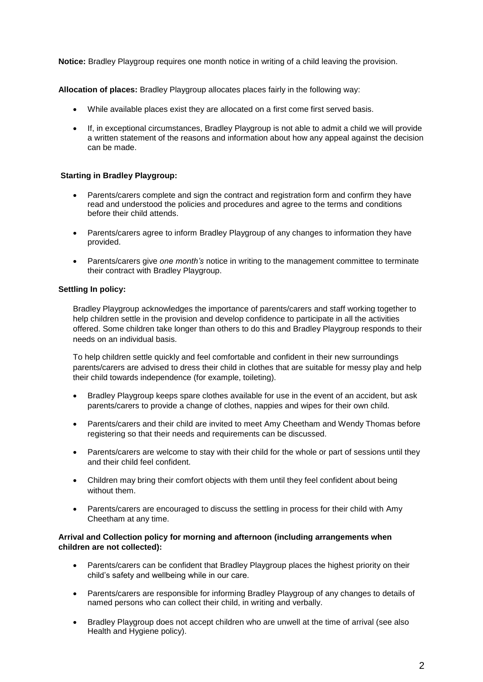**Notice:** Bradley Playgroup requires one month notice in writing of a child leaving the provision.

**Allocation of places:** Bradley Playgroup allocates places fairly in the following way:

- While available places exist they are allocated on a first come first served basis.
- If, in exceptional circumstances, Bradley Playgroup is not able to admit a child we will provide a written statement of the reasons and information about how any appeal against the decision can be made.

### **Starting in Bradley Playgroup:**

- Parents/carers complete and sign the contract and registration form and confirm they have read and understood the policies and procedures and agree to the terms and conditions before their child attends.
- Parents/carers agree to inform Bradley Playgroup of any changes to information they have provided.
- Parents/carers give *one month's* notice in writing to the management committee to terminate their contract with Bradley Playgroup.

#### **Settling In policy:**

Bradley Playgroup acknowledges the importance of parents/carers and staff working together to help children settle in the provision and develop confidence to participate in all the activities offered. Some children take longer than others to do this and Bradley Playgroup responds to their needs on an individual basis.

To help children settle quickly and feel comfortable and confident in their new surroundings parents/carers are advised to dress their child in clothes that are suitable for messy play and help their child towards independence (for example, toileting).

- Bradley Playgroup keeps spare clothes available for use in the event of an accident, but ask parents/carers to provide a change of clothes, nappies and wipes for their own child.
- Parents/carers and their child are invited to meet Amy Cheetham and Wendy Thomas before registering so that their needs and requirements can be discussed.
- Parents/carers are welcome to stay with their child for the whole or part of sessions until they and their child feel confident.
- Children may bring their comfort objects with them until they feel confident about being without them.
- Parents/carers are encouraged to discuss the settling in process for their child with Amy Cheetham at any time.

### **Arrival and Collection policy for morning and afternoon (including arrangements when children are not collected):**

- Parents/carers can be confident that Bradley Playgroup places the highest priority on their child's safety and wellbeing while in our care.
- Parents/carers are responsible for informing Bradley Playgroup of any changes to details of named persons who can collect their child, in writing and verbally.
- Bradley Playgroup does not accept children who are unwell at the time of arrival (see also Health and Hygiene policy).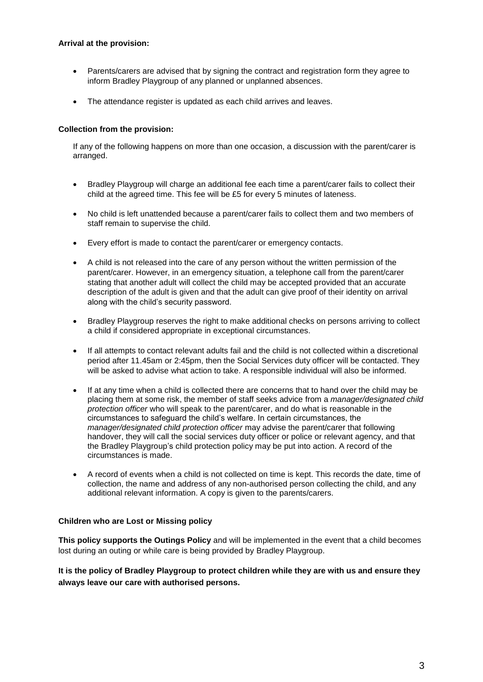### **Arrival at the provision:**

- Parents/carers are advised that by signing the contract and registration form they agree to inform Bradley Playgroup of any planned or unplanned absences.
- The attendance register is updated as each child arrives and leaves.

## **Collection from the provision:**

If any of the following happens on more than one occasion, a discussion with the parent/carer is arranged.

- Bradley Playgroup will charge an additional fee each time a parent/carer fails to collect their child at the agreed time. This fee will be £5 for every 5 minutes of lateness.
- No child is left unattended because a parent/carer fails to collect them and two members of staff remain to supervise the child.
- Every effort is made to contact the parent/carer or emergency contacts.
- A child is not released into the care of any person without the written permission of the parent/carer. However, in an emergency situation, a telephone call from the parent/carer stating that another adult will collect the child may be accepted provided that an accurate description of the adult is given and that the adult can give proof of their identity on arrival along with the child's security password.
- Bradley Playgroup reserves the right to make additional checks on persons arriving to collect a child if considered appropriate in exceptional circumstances.
- If all attempts to contact relevant adults fail and the child is not collected within a discretional period after 11.45am or 2:45pm, then the Social Services duty officer will be contacted. They will be asked to advise what action to take. A responsible individual will also be informed.
- If at any time when a child is collected there are concerns that to hand over the child may be placing them at some risk, the member of staff seeks advice from a *manager/designated child protection officer* who will speak to the parent/carer, and do what is reasonable in the circumstances to safeguard the child's welfare. In certain circumstances, the *manager/designated child protection officer* may advise the parent/carer that following handover, they will call the social services duty officer or police or relevant agency, and that the Bradley Playgroup's child protection policy may be put into action. A record of the circumstances is made.
- A record of events when a child is not collected on time is kept. This records the date, time of collection, the name and address of any non-authorised person collecting the child, and any additional relevant information. A copy is given to the parents/carers.

## **Children who are Lost or Missing policy**

**This policy supports the Outings Policy** and will be implemented in the event that a child becomes lost during an outing or while care is being provided by Bradley Playgroup.

**It is the policy of Bradley Playgroup to protect children while they are with us and ensure they always leave our care with authorised persons.**